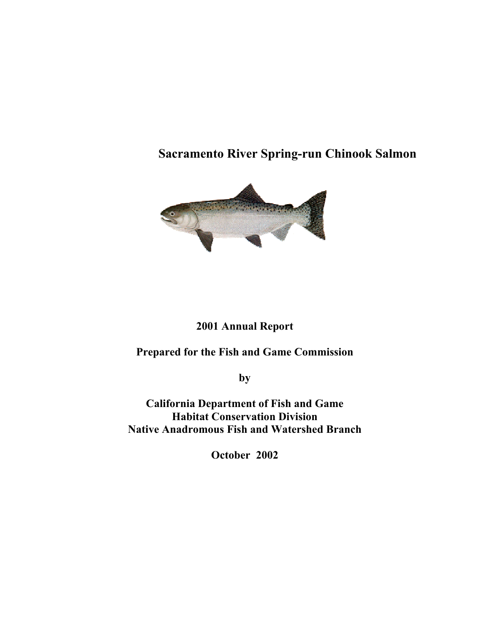# **Sacramento River Spring-run Chinook Salmon**



## **2001 Annual Report**

**Prepared for the Fish and Game Commission** 

**by** 

**California Department of Fish and Game Habitat Conservation Division Native Anadromous Fish and Watershed Branch** 

**October 2002**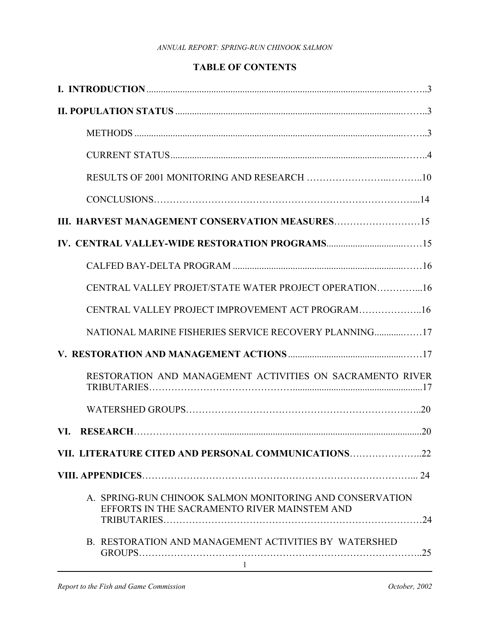## **TABLE OF CONTENTS**

| CENTRAL VALLEY PROJET/STATE WATER PROJECT OPERATION16                                                          |
|----------------------------------------------------------------------------------------------------------------|
| CENTRAL VALLEY PROJECT IMPROVEMENT ACT PROGRAM16                                                               |
| NATIONAL MARINE FISHERIES SERVICE RECOVERY PLANNING17                                                          |
|                                                                                                                |
| RESTORATION AND MANAGEMENT ACTIVITIES ON SACRAMENTO RIVER                                                      |
|                                                                                                                |
|                                                                                                                |
| VII. LITERATURE CITED AND PERSONAL COMMUNICATIONS22                                                            |
|                                                                                                                |
| A. SPRING-RUN CHINOOK SALMON MONITORING AND CONSERVATION<br>EFFORTS IN THE SACRAMENTO RIVER MAINSTEM AND<br>24 |
| B. RESTORATION AND MANAGEMENT ACTIVITIES BY WATERSHED<br>$\mathbf{1}$                                          |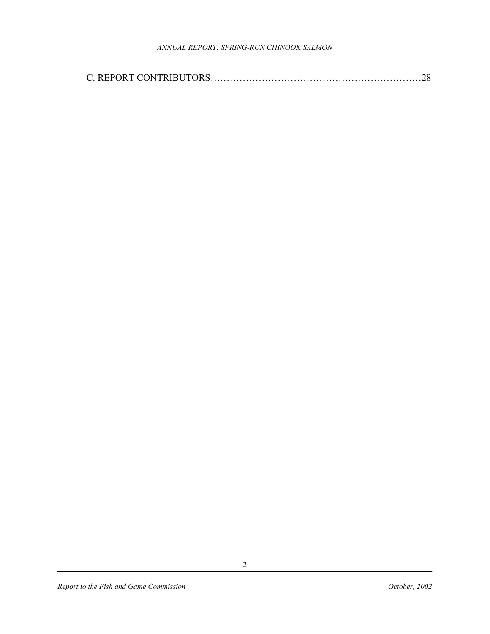|--|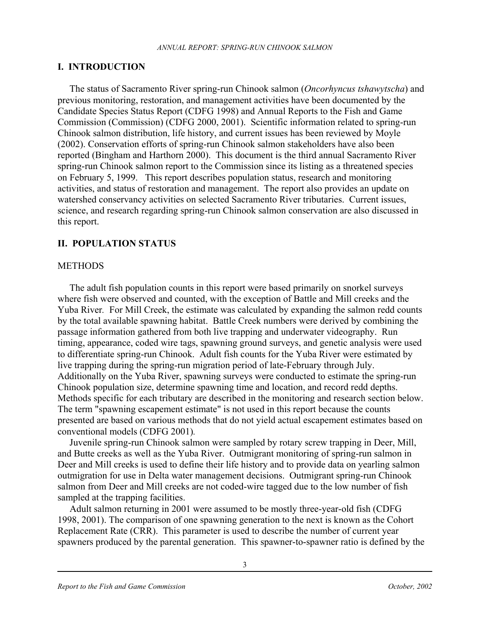#### **I. INTRODUCTION**

 The status of Sacramento River spring-run Chinook salmon (*Oncorhyncus tshawytscha*) and previous monitoring, restoration, and management activities have been documented by the Candidate Species Status Report (CDFG 1998) and Annual Reports to the Fish and Game Commission (Commission) (CDFG 2000, 2001). Scientific information related to spring-run Chinook salmon distribution, life history, and current issues has been reviewed by Moyle (2002). Conservation efforts of spring-run Chinook salmon stakeholders have also been reported (Bingham and Harthorn 2000). This document is the third annual Sacramento River spring-run Chinook salmon report to the Commission since its listing as a threatened species on February 5, 1999. This report describes population status, research and monitoring activities, and status of restoration and management. The report also provides an update on watershed conservancy activities on selected Sacramento River tributaries. Current issues, science, and research regarding spring-run Chinook salmon conservation are also discussed in this report.

### **II. POPULATION STATUS**

#### **METHODS**

 The adult fish population counts in this report were based primarily on snorkel surveys where fish were observed and counted, with the exception of Battle and Mill creeks and the Yuba River*.* For Mill Creek, the estimate was calculated by expanding the salmon redd counts by the total available spawning habitat. Battle Creek numbers were derived by combining the passage information gathered from both live trapping and underwater videography. Run timing, appearance, coded wire tags, spawning ground surveys, and genetic analysis were used to differentiate spring-run Chinook. Adult fish counts for the Yuba River were estimated by live trapping during the spring-run migration period of late-February through July. Additionally on the Yuba River, spawning surveys were conducted to estimate the spring-run Chinook population size, determine spawning time and location, and record redd depths. Methods specific for each tributary are described in the monitoring and research section below. The term "spawning escapement estimate" is not used in this report because the counts presented are based on various methods that do not yield actual escapement estimates based on conventional models (CDFG 2001)*.* 

 Juvenile spring-run Chinook salmon were sampled by rotary screw trapping in Deer, Mill, and Butte creeks as well as the Yuba River. Outmigrant monitoring of spring-run salmon in Deer and Mill creeks is used to define their life history and to provide data on yearling salmon outmigration for use in Delta water management decisions. Outmigrant spring-run Chinook salmon from Deer and Mill creeks are not coded-wire tagged due to the low number of fish sampled at the trapping facilities.

Adult salmon returning in 2001 were assumed to be mostly three-year-old fish (CDFG 1998, 2001). The comparison of one spawning generation to the next is known as the Cohort Replacement Rate (CRR). This parameter is used to describe the number of current year spawners produced by the parental generation. This spawner-to-spawner ratio is defined by the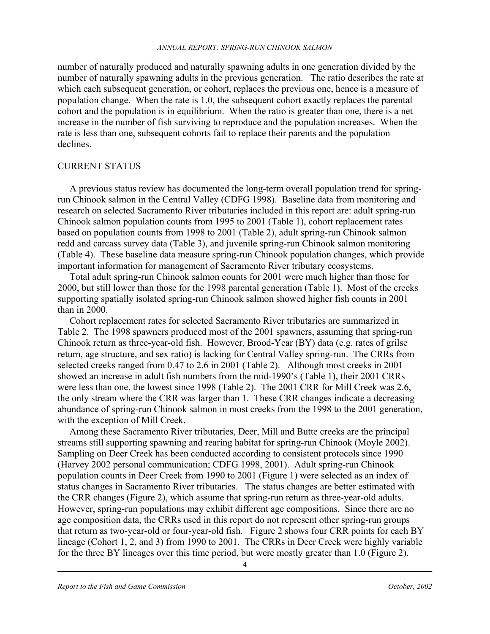number of naturally produced and naturally spawning adults in one generation divided by the number of naturally spawning adults in the previous generation. The ratio describes the rate at which each subsequent generation, or cohort, replaces the previous one, hence is a measure of population change. When the rate is 1.0, the subsequent cohort exactly replaces the parental cohort and the population is in equilibrium. When the ratio is greater than one, there is a net increase in the number of fish surviving to reproduce and the population increases. When the rate is less than one, subsequent cohorts fail to replace their parents and the population declines.

#### CURRENT STATUS

A previous status review has documented the long-term overall population trend for springrun Chinook salmon in the Central Valley (CDFG 1998). Baseline data from monitoring and research on selected Sacramento River tributaries included in this report are: adult spring-run Chinook salmon population counts from 1995 to 2001 (Table 1), cohort replacement rates based on population counts from 1998 to 2001 (Table 2), adult spring-run Chinook salmon redd and carcass survey data (Table 3), and juvenile spring-run Chinook salmon monitoring (Table 4). These baseline data measure spring-run Chinook population changes, which provide important information for management of Sacramento River tributary ecosystems.

Total adult spring-run Chinook salmon counts for 2001 were much higher than those for 2000, but still lower than those for the 1998 parental generation (Table 1). Most of the creeks supporting spatially isolated spring-run Chinook salmon showed higher fish counts in 2001 than in 2000.

Cohort replacement rates for selected Sacramento River tributaries are summarized in Table 2. The 1998 spawners produced most of the 2001 spawners, assuming that spring-run Chinook return as three-year-old fish. However, Brood-Year (BY) data (e.g. rates of grilse return, age structure, and sex ratio) is lacking for Central Valley spring-run. The CRRs from selected creeks ranged from 0.47 to 2.6 in 2001 (Table 2). Although most creeks in 2001 showed an increase in adult fish numbers from the mid-1990's (Table 1), their 2001 CRRs were less than one, the lowest since 1998 (Table 2). The 2001 CRR for Mill Creek was 2.6, the only stream where the CRR was larger than 1. These CRR changes indicate a decreasing abundance of spring-run Chinook salmon in most creeks from the 1998 to the 2001 generation, with the exception of Mill Creek.

 Among these Sacramento River tributaries, Deer, Mill and Butte creeks are the principal streams still supporting spawning and rearing habitat for spring-run Chinook (Moyle 2002). Sampling on Deer Creek has been conducted according to consistent protocols since 1990 (Harvey 2002 personal communication; CDFG 1998, 2001). Adult spring-run Chinook population counts in Deer Creek from 1990 to 2001 (Figure 1) were selected as an index of status changes in Sacramento River tributaries. The status changes are better estimated with the CRR changes (Figure 2), which assume that spring-run return as three-year-old adults. However, spring-run populations may exhibit different age compositions. Since there are no age composition data, the CRRs used in this report do not represent other spring-run groups that return as two-year-old or four-year-old fish. Figure 2 shows four CRR points for each BY lineage (Cohort 1, 2, and 3) from 1990 to 2001. The CRRs in Deer Creek were highly variable for the three BY lineages over this time period, but were mostly greater than 1.0 (Figure 2).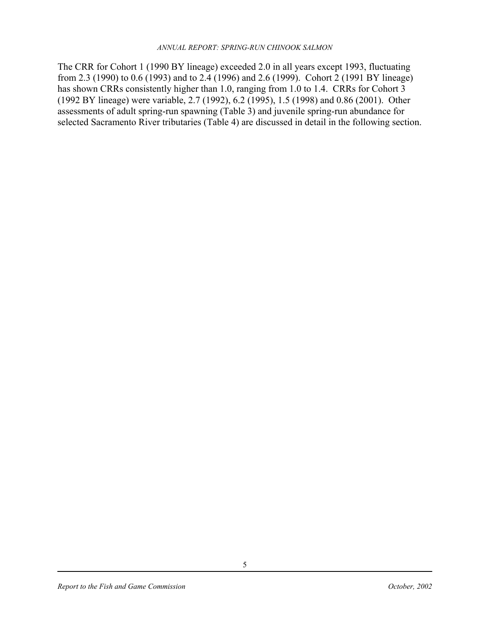The CRR for Cohort 1 (1990 BY lineage) exceeded 2.0 in all years except 1993, fluctuating from 2.3 (1990) to 0.6 (1993) and to 2.4 (1996) and 2.6 (1999). Cohort 2 (1991 BY lineage) has shown CRRs consistently higher than 1.0, ranging from 1.0 to 1.4. CRRs for Cohort 3 (1992 BY lineage) were variable, 2.7 (1992), 6.2 (1995), 1.5 (1998) and 0.86 (2001). Other assessments of adult spring-run spawning (Table 3) and juvenile spring-run abundance for selected Sacramento River tributaries (Table 4) are discussed in detail in the following section.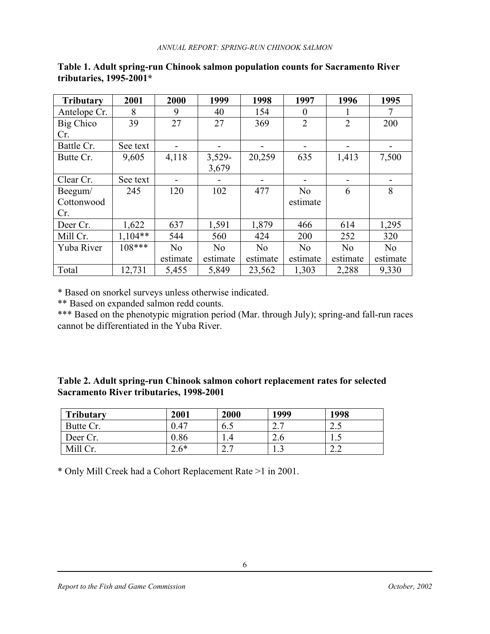| <b>Tributary</b> | 2001      | 2000     | 1999           | 1998           | 1997             | 1996           | 1995           |
|------------------|-----------|----------|----------------|----------------|------------------|----------------|----------------|
| Antelope Cr.     | 8         | 9        | 40             | 154            | $\boldsymbol{0}$ |                | 7              |
| Big Chico        | 39        | 27       | 27             | 369            | $\overline{2}$   | $\overline{2}$ | 200            |
| Cr.              |           |          |                |                |                  |                |                |
| Battle Cr.       | See text  |          |                |                |                  |                |                |
| Butte Cr.        | 9,605     | 4,118    | 3,529-         | 20,259         | 635              | 1,413          | 7,500          |
|                  |           |          | 3,679          |                |                  |                |                |
| Clear Cr.        | See text  |          |                |                |                  |                |                |
| Beegum/          | 245       | 120      | 102            | 477            | N <sub>0</sub>   | 6              | 8              |
| Cottonwood       |           |          |                |                | estimate         |                |                |
| Cr.              |           |          |                |                |                  |                |                |
| Deer Cr.         | 1,622     | 637      | 1,591          | 1,879          | 466              | 614            | 1,295          |
| Mill Cr.         | $1,104**$ | 544      | 560            | 424            | 200              | 252            | 320            |
| Yuba River       | $108***$  | No       | N <sub>o</sub> | N <sub>0</sub> | N <sub>o</sub>   | N <sub>o</sub> | N <sub>0</sub> |
|                  |           | estimate | estimate       | estimate       | estimate         | estimate       | estimate       |
| Total            | 12,731    | 5,455    | 5,849          | 23,562         | 1,303            | 2,288          | 9,330          |

#### **Table 1. Adult spring-run Chinook salmon population counts for Sacramento River tributaries, 1995-2001\***

\* Based on snorkel surveys unless otherwise indicated.

\*\* Based on expanded salmon redd counts.

\*\*\* Based on the phenotypic migration period (Mar. through July); spring-and fall-run races cannot be differentiated in the Yuba River.

| Table 2. Adult spring-run Chinook salmon cohort replacement rates for selected |  |
|--------------------------------------------------------------------------------|--|
| <b>Sacramento River tributaries, 1998-2001</b>                                 |  |

| <b>Tributary</b> | 2001   | 2000                 | 1999                 | 1998  |
|------------------|--------|----------------------|----------------------|-------|
| Butte Cr.        | 0.47   | 6.5                  | $\sim$ $\sim$<br>ن ک | ن . پ |
| Deer Cr.         | 0.86   |                      | $\angle 0$           | ن .   |
| Mill Cr.         | $2.6*$ | $\sim$ $\sim$<br>ن ک | ر…                   | 2.Z   |

\* Only Mill Creek had a Cohort Replacement Rate >1 in 2001.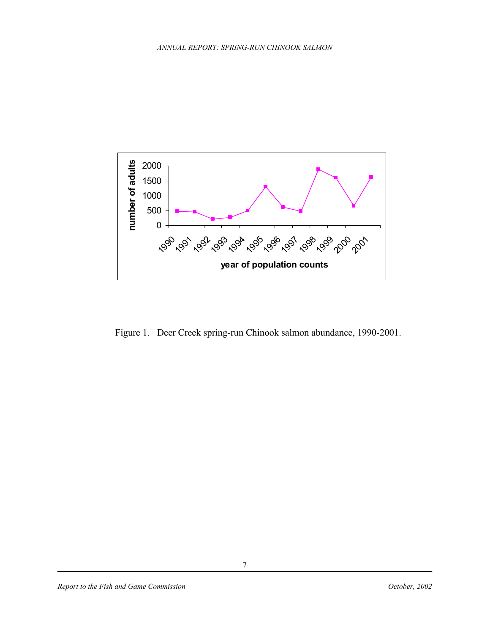

Figure 1. Deer Creek spring-run Chinook salmon abundance, 1990-2001.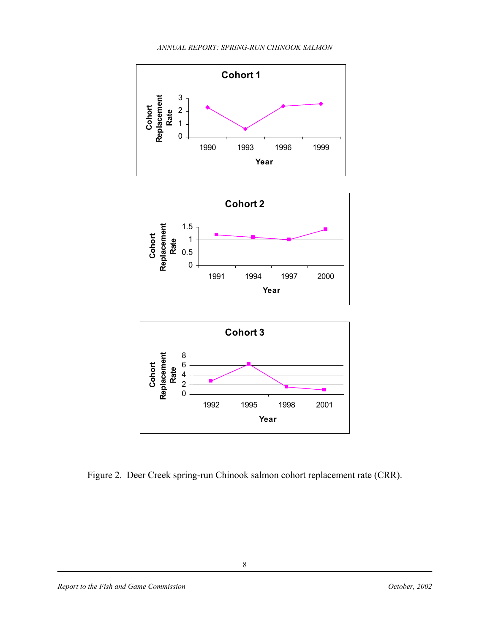

Figure 2. Deer Creek spring-run Chinook salmon cohort replacement rate (CRR).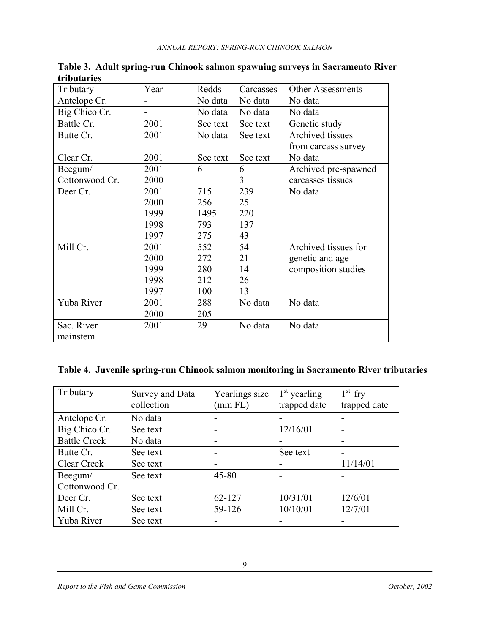| Tributary      | Year | Redds    | Carcasses | <b>Other Assessments</b> |
|----------------|------|----------|-----------|--------------------------|
| Antelope Cr.   |      | No data  | No data   | No data                  |
| Big Chico Cr.  |      | No data  | No data   | No data                  |
| Battle Cr.     | 2001 | See text | See text  | Genetic study            |
| Butte Cr.      | 2001 | No data  | See text  | Archived tissues         |
|                |      |          |           | from carcass survey      |
| Clear Cr.      | 2001 | See text | See text  | No data                  |
| Beegum/        | 2001 | 6        | 6         | Archived pre-spawned     |
| Cottonwood Cr. | 2000 |          | 3         | carcasses tissues        |
| Deer Cr.       | 2001 | 715      | 239       | No data                  |
|                | 2000 | 256      | 25        |                          |
|                | 1999 | 1495     | 220       |                          |
|                | 1998 | 793      | 137       |                          |
|                | 1997 | 275      | 43        |                          |
| Mill Cr.       | 2001 | 552      | 54        | Archived tissues for     |
|                | 2000 | 272      | 21        | genetic and age          |
|                | 1999 | 280      | 14        | composition studies      |
|                | 1998 | 212      | 26        |                          |
|                | 1997 | 100      | 13        |                          |
| Yuba River     | 2001 | 288      | No data   | No data                  |
|                | 2000 | 205      |           |                          |
| Sac. River     | 2001 | 29       | No data   | No data                  |
| mainstem       |      |          |           |                          |

**Table 3. Adult spring-run Chinook salmon spawning surveys in Sacramento River tributaries** 

## **Table 4. Juvenile spring-run Chinook salmon monitoring in Sacramento River tributaries**

| Tributary           | <b>Survey and Data</b> | Yearlings size | $1st$ yearling | $1st$ fry    |
|---------------------|------------------------|----------------|----------------|--------------|
|                     | collection             | (mm FL)        | trapped date   | trapped date |
| Antelope Cr.        | No data                |                |                |              |
| Big Chico Cr.       | See text               | -              | 12/16/01       |              |
| <b>Battle Creek</b> | No data                |                |                |              |
| Butte Cr.           | See text               | -              | See text       |              |
| Clear Creek         | See text               |                |                | 11/14/01     |
| Beegum/             | See text               | $45 - 80$      |                |              |
| Cottonwood Cr.      |                        |                |                |              |
| Deer Cr.            | See text               | 62-127         | 10/31/01       | 12/6/01      |
| Mill Cr.            | See text               | 59-126         | 10/10/01       | 12/7/01      |
| Yuba River          | See text               | -              |                |              |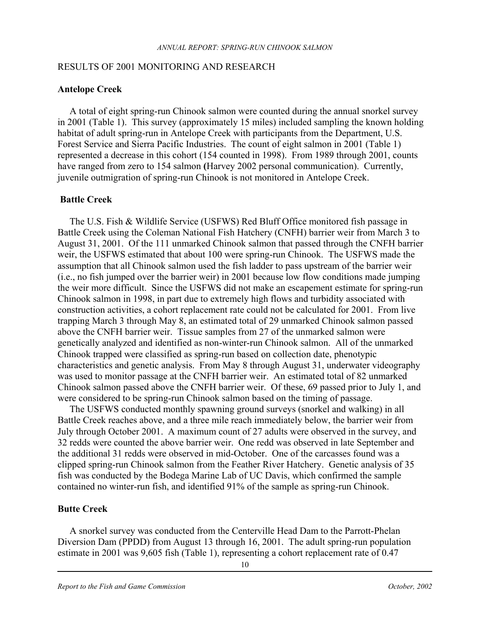#### RESULTS OF 2001 MONITORING AND RESEARCH

#### **Antelope Creek**

 A total of eight spring-run Chinook salmon were counted during the annual snorkel survey in 2001 (Table 1). This survey (approximately 15 miles) included sampling the known holding habitat of adult spring-run in Antelope Creek with participants from the Department, U.S. Forest Service and Sierra Pacific Industries. The count of eight salmon in 2001 (Table 1) represented a decrease in this cohort (154 counted in 1998). From 1989 through 2001, counts have ranged from zero to 154 salmon **(**Harvey 2002 personal communication). Currently, juvenile outmigration of spring-run Chinook is not monitored in Antelope Creek.

#### **Battle Creek**

 The U.S. Fish & Wildlife Service (USFWS) Red Bluff Office monitored fish passage in Battle Creek using the Coleman National Fish Hatchery (CNFH) barrier weir from March 3 to August 31, 2001. Of the 111 unmarked Chinook salmon that passed through the CNFH barrier weir, the USFWS estimated that about 100 were spring-run Chinook. The USFWS made the assumption that all Chinook salmon used the fish ladder to pass upstream of the barrier weir (i.e., no fish jumped over the barrier weir) in 2001 because low flow conditions made jumping the weir more difficult. Since the USFWS did not make an escapement estimate for spring-run Chinook salmon in 1998, in part due to extremely high flows and turbidity associated with construction activities, a cohort replacement rate could not be calculated for 2001. From live trapping March 3 through May 8, an estimated total of 29 unmarked Chinook salmon passed above the CNFH barrier weir. Tissue samples from 27 of the unmarked salmon were genetically analyzed and identified as non-winter-run Chinook salmon. All of the unmarked Chinook trapped were classified as spring-run based on collection date, phenotypic characteristics and genetic analysis. From May 8 through August 31, underwater videography was used to monitor passage at the CNFH barrier weir. An estimated total of 82 unmarked Chinook salmon passed above the CNFH barrier weir. Of these, 69 passed prior to July 1, and were considered to be spring-run Chinook salmon based on the timing of passage.

 The USFWS conducted monthly spawning ground surveys (snorkel and walking) in all Battle Creek reaches above, and a three mile reach immediately below, the barrier weir from July through October 2001. A maximum count of 27 adults were observed in the survey, and 32 redds were counted the above barrier weir. One redd was observed in late September and the additional 31 redds were observed in mid-October. One of the carcasses found was a clipped spring-run Chinook salmon from the Feather River Hatchery. Genetic analysis of 35 fish was conducted by the Bodega Marine Lab of UC Davis, which confirmed the sample contained no winter-run fish, and identified 91% of the sample as spring-run Chinook.

#### **Butte Creek**

 A snorkel survey was conducted from the Centerville Head Dam to the Parrott-Phelan Diversion Dam (PPDD) from August 13 through 16, 2001. The adult spring-run population estimate in 2001 was 9,605 fish (Table 1), representing a cohort replacement rate of 0.47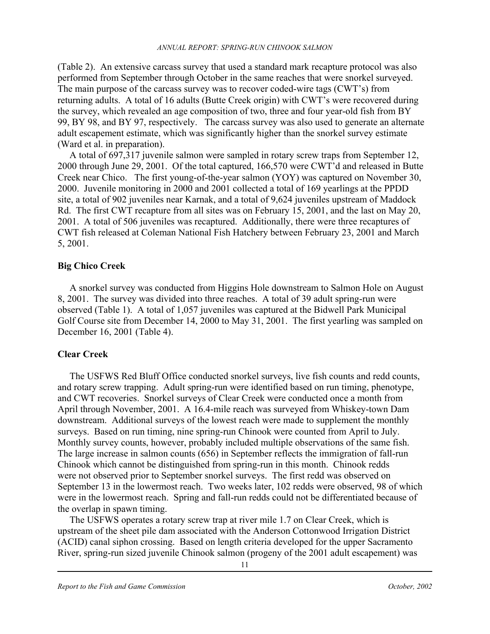(Table 2). An extensive carcass survey that used a standard mark recapture protocol was also performed from September through October in the same reaches that were snorkel surveyed. The main purpose of the carcass survey was to recover coded-wire tags (CWT's) from returning adults. A total of 16 adults (Butte Creek origin) with CWT's were recovered during the survey, which revealed an age composition of two, three and four year-old fish from BY 99, BY 98, and BY 97, respectively. The carcass survey was also used to generate an alternate adult escapement estimate, which was significantly higher than the snorkel survey estimate (Ward et al. in preparation).

 A total of 697,317 juvenile salmon were sampled in rotary screw traps from September 12, 2000 through June 29, 2001. Of the total captured, 166,570 were CWT'd and released in Butte Creek near Chico. The first young-of-the-year salmon (YOY) was captured on November 30, 2000. Juvenile monitoring in 2000 and 2001 collected a total of 169 yearlings at the PPDD site, a total of 902 juveniles near Karnak, and a total of 9,624 juveniles upstream of Maddock Rd. The first CWT recapture from all sites was on February 15, 2001, and the last on May 20, 2001. A total of 506 juveniles was recaptured. Additionally, there were three recaptures of CWT fish released at Coleman National Fish Hatchery between February 23, 2001 and March 5, 2001.

#### **Big Chico Creek**

 A snorkel survey was conducted from Higgins Hole downstream to Salmon Hole on August 8, 2001. The survey was divided into three reaches. A total of 39 adult spring-run were observed (Table 1). A total of 1,057 juveniles was captured at the Bidwell Park Municipal Golf Course site from December 14, 2000 to May 31, 2001. The first yearling was sampled on December 16, 2001 (Table 4).

### **Clear Creek**

 The USFWS Red Bluff Office conducted snorkel surveys, live fish counts and redd counts, and rotary screw trapping. Adult spring-run were identified based on run timing, phenotype, and CWT recoveries. Snorkel surveys of Clear Creek were conducted once a month from April through November, 2001. A 16.4-mile reach was surveyed from Whiskey-town Dam downstream. Additional surveys of the lowest reach were made to supplement the monthly surveys. Based on run timing, nine spring-run Chinook were counted from April to July. Monthly survey counts, however, probably included multiple observations of the same fish. The large increase in salmon counts (656) in September reflects the immigration of fall-run Chinook which cannot be distinguished from spring-run in this month. Chinook redds were not observed prior to September snorkel surveys. The first redd was observed on September 13 in the lowermost reach. Two weeks later, 102 redds were observed, 98 of which were in the lowermost reach. Spring and fall-run redds could not be differentiated because of the overlap in spawn timing.

 The USFWS operates a rotary screw trap at river mile 1.7 on Clear Creek, which is upstream of the sheet pile dam associated with the Anderson Cottonwood Irrigation District (ACID) canal siphon crossing. Based on length criteria developed for the upper Sacramento River, spring-run sized juvenile Chinook salmon (progeny of the 2001 adult escapement) was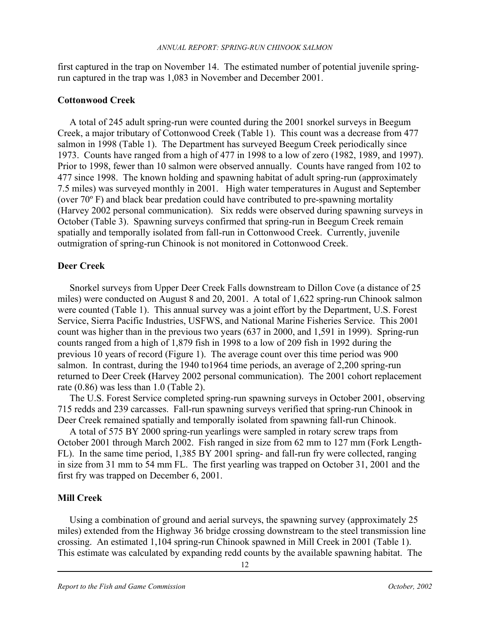first captured in the trap on November 14. The estimated number of potential juvenile springrun captured in the trap was 1,083 in November and December 2001.

#### **Cottonwood Creek**

 A total of 245 adult spring-run were counted during the 2001 snorkel surveys in Beegum Creek, a major tributary of Cottonwood Creek (Table 1). This count was a decrease from 477 salmon in 1998 (Table 1). The Department has surveyed Beegum Creek periodically since 1973. Counts have ranged from a high of 477 in 1998 to a low of zero (1982, 1989, and 1997). Prior to 1998, fewer than 10 salmon were observed annually. Counts have ranged from 102 to 477 since 1998. The known holding and spawning habitat of adult spring-run (approximately 7.5 miles) was surveyed monthly in 2001. High water temperatures in August and September (over 70º F) and black bear predation could have contributed to pre-spawning mortality (Harvey 2002 personal communication). Six redds were observed during spawning surveys in October (Table 3). Spawning surveys confirmed that spring-run in Beegum Creek remain spatially and temporally isolated from fall-run in Cottonwood Creek. Currently, juvenile outmigration of spring-run Chinook is not monitored in Cottonwood Creek.

#### **Deer Creek**

 Snorkel surveys from Upper Deer Creek Falls downstream to Dillon Cove (a distance of 25 miles) were conducted on August 8 and 20, 2001. A total of 1,622 spring-run Chinook salmon were counted (Table 1). This annual survey was a joint effort by the Department, U.S. Forest Service, Sierra Pacific Industries, USFWS, and National Marine Fisheries Service. This 2001 count was higher than in the previous two years (637 in 2000, and 1,591 in 1999). Spring-run counts ranged from a high of 1,879 fish in 1998 to a low of 209 fish in 1992 during the previous 10 years of record (Figure 1). The average count over this time period was 900 salmon. In contrast, during the 1940 to1964 time periods, an average of 2,200 spring-run returned to Deer Creek **(**Harvey 2002 personal communication). The 2001 cohort replacement rate  $(0.86)$  was less than 1.0 (Table 2).

 The U.S. Forest Service completed spring-run spawning surveys in October 2001, observing 715 redds and 239 carcasses. Fall-run spawning surveys verified that spring-run Chinook in Deer Creek remained spatially and temporally isolated from spawning fall-run Chinook.

 A total of 575 BY 2000 spring-run yearlings were sampled in rotary screw traps from October 2001 through March 2002. Fish ranged in size from 62 mm to 127 mm (Fork Length-FL). In the same time period, 1,385 BY 2001 spring- and fall-run fry were collected, ranging in size from 31 mm to 54 mm FL. The first yearling was trapped on October 31, 2001 and the first fry was trapped on December 6, 2001.

### **Mill Creek**

 Using a combination of ground and aerial surveys, the spawning survey (approximately 25 miles) extended from the Highway 36 bridge crossing downstream to the steel transmission line crossing. An estimated 1,104 spring-run Chinook spawned in Mill Creek in 2001 (Table 1). This estimate was calculated by expanding redd counts by the available spawning habitat. The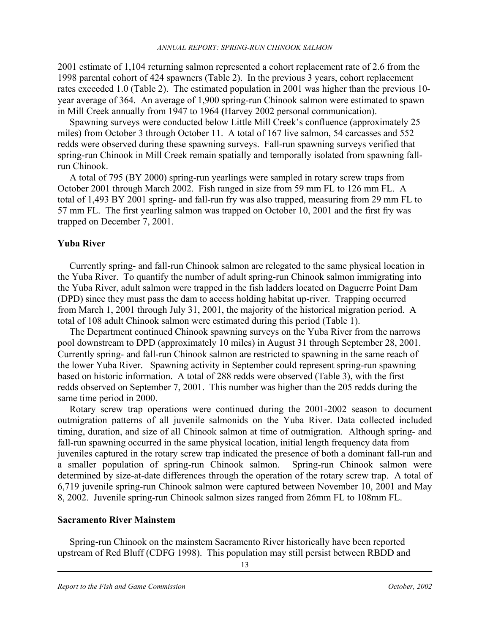2001 estimate of 1,104 returning salmon represented a cohort replacement rate of 2.6 from the 1998 parental cohort of 424 spawners (Table 2). In the previous 3 years, cohort replacement rates exceeded 1.0 (Table 2). The estimated population in 2001 was higher than the previous 10 year average of 364. An average of 1,900 spring-run Chinook salmon were estimated to spawn in Mill Creek annually from 1947 to 1964 **(**Harvey 2002 personal communication).

 Spawning surveys were conducted below Little Mill Creek's confluence (approximately 25 miles) from October 3 through October 11. A total of 167 live salmon, 54 carcasses and 552 redds were observed during these spawning surveys. Fall-run spawning surveys verified that spring-run Chinook in Mill Creek remain spatially and temporally isolated from spawning fallrun Chinook.

 A total of 795 (BY 2000) spring-run yearlings were sampled in rotary screw traps from October 2001 through March 2002. Fish ranged in size from 59 mm FL to 126 mm FL. A total of 1,493 BY 2001 spring- and fall-run fry was also trapped, measuring from 29 mm FL to 57 mm FL. The first yearling salmon was trapped on October 10, 2001 and the first fry was trapped on December 7, 2001.

#### **Yuba River**

 Currently spring- and fall-run Chinook salmon are relegated to the same physical location in the Yuba River. To quantify the number of adult spring-run Chinook salmon immigrating into the Yuba River, adult salmon were trapped in the fish ladders located on Daguerre Point Dam (DPD) since they must pass the dam to access holding habitat up-river. Trapping occurred from March 1, 2001 through July 31, 2001, the majority of the historical migration period. A total of 108 adult Chinook salmon were estimated during this period (Table 1).

 The Department continued Chinook spawning surveys on the Yuba River from the narrows pool downstream to DPD (approximately 10 miles) in August 31 through September 28, 2001. Currently spring- and fall-run Chinook salmon are restricted to spawning in the same reach of the lower Yuba River. Spawning activity in September could represent spring-run spawning based on historic information. A total of 288 redds were observed (Table 3), with the first redds observed on September 7, 2001. This number was higher than the 205 redds during the same time period in 2000.

Rotary screw trap operations were continued during the 2001-2002 season to document outmigration patterns of all juvenile salmonids on the Yuba River. Data collected included timing, duration, and size of all Chinook salmon at time of outmigration. Although spring- and fall-run spawning occurred in the same physical location, initial length frequency data from juveniles captured in the rotary screw trap indicated the presence of both a dominant fall-run and a smaller population of spring-run Chinook salmon. Spring-run Chinook salmon were determined by size-at-date differences through the operation of the rotary screw trap. A total of 6,719 juvenile spring-run Chinook salmon were captured between November 10, 2001 and May 8, 2002. Juvenile spring-run Chinook salmon sizes ranged from 26mm FL to 108mm FL.

#### **Sacramento River Mainstem**

 Spring-run Chinook on the mainstem Sacramento River historically have been reported upstream of Red Bluff (CDFG 1998). This population may still persist between RBDD and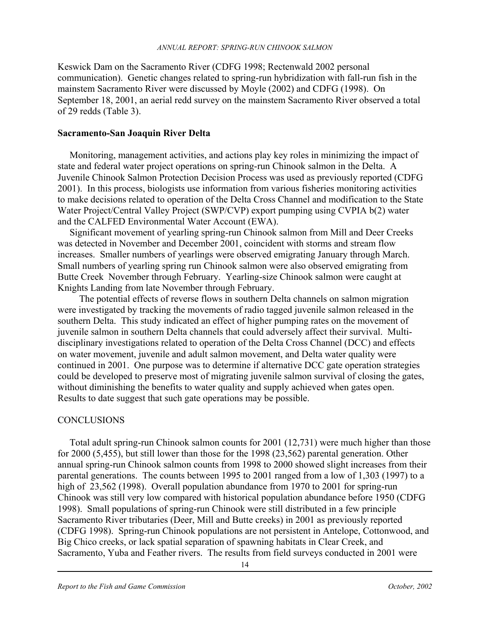Keswick Dam on the Sacramento River (CDFG 1998; Rectenwald 2002 personal communication). Genetic changes related to spring-run hybridization with fall-run fish in the mainstem Sacramento River were discussed by Moyle (2002) and CDFG (1998). On September 18, 2001, an aerial redd survey on the mainstem Sacramento River observed a total of 29 redds (Table 3).

#### **Sacramento-San Joaquin River Delta**

 Monitoring, management activities, and actions play key roles in minimizing the impact of state and federal water project operations on spring-run Chinook salmon in the Delta. A Juvenile Chinook Salmon Protection Decision Process was used as previously reported (CDFG 2001). In this process, biologists use information from various fisheries monitoring activities to make decisions related to operation of the Delta Cross Channel and modification to the State Water Project/Central Valley Project (SWP/CVP) export pumping using CVPIA b(2) water and the CALFED Environmental Water Account (EWA).

 Significant movement of yearling spring-run Chinook salmon from Mill and Deer Creeks was detected in November and December 2001, coincident with storms and stream flow increases. Smaller numbers of yearlings were observed emigrating January through March. Small numbers of yearling spring run Chinook salmon were also observed emigrating from Butte Creek November through February. Yearling-size Chinook salmon were caught at Knights Landing from late November through February.

The potential effects of reverse flows in southern Delta channels on salmon migration were investigated by tracking the movements of radio tagged juvenile salmon released in the southern Delta. This study indicated an effect of higher pumping rates on the movement of juvenile salmon in southern Delta channels that could adversely affect their survival. Multidisciplinary investigations related to operation of the Delta Cross Channel (DCC) and effects on water movement, juvenile and adult salmon movement, and Delta water quality were continued in 2001. One purpose was to determine if alternative DCC gate operation strategies could be developed to preserve most of migrating juvenile salmon survival of closing the gates, without diminishing the benefits to water quality and supply achieved when gates open. Results to date suggest that such gate operations may be possible.

### **CONCLUSIONS**

 Total adult spring-run Chinook salmon counts for 2001 (12,731) were much higher than those for 2000 (5,455), but still lower than those for the 1998 (23,562) parental generation. Other annual spring-run Chinook salmon counts from 1998 to 2000 showed slight increases from their parental generations. The counts between 1995 to 2001 ranged from a low of 1,303 (1997) to a high of 23,562 (1998). Overall population abundance from 1970 to 2001 for spring-run Chinook was still very low compared with historical population abundance before 1950 (CDFG 1998). Small populations of spring-run Chinook were still distributed in a few principle Sacramento River tributaries (Deer, Mill and Butte creeks) in 2001 as previously reported (CDFG 1998). Spring-run Chinook populations are not persistent in Antelope, Cottonwood, and Big Chico creeks, or lack spatial separation of spawning habitats in Clear Creek, and Sacramento, Yuba and Feather rivers. The results from field surveys conducted in 2001 were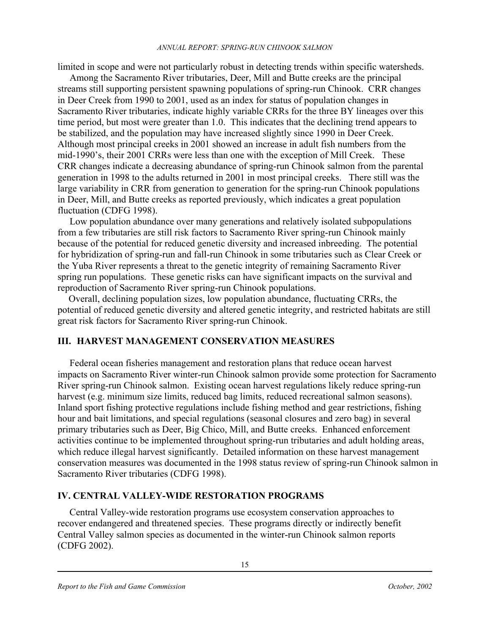limited in scope and were not particularly robust in detecting trends within specific watersheds.

Among the Sacramento River tributaries, Deer, Mill and Butte creeks are the principal streams still supporting persistent spawning populations of spring-run Chinook. CRR changes in Deer Creek from 1990 to 2001, used as an index for status of population changes in Sacramento River tributaries, indicate highly variable CRRs for the three BY lineages over this time period, but most were greater than 1.0. This indicates that the declining trend appears to be stabilized, and the population may have increased slightly since 1990 in Deer Creek. Although most principal creeks in 2001 showed an increase in adult fish numbers from the mid-1990's, their 2001 CRRs were less than one with the exception of Mill Creek. These CRR changes indicate a decreasing abundance of spring-run Chinook salmon from the parental generation in 1998 to the adults returned in 2001 in most principal creeks. There still was the large variability in CRR from generation to generation for the spring-run Chinook populations in Deer, Mill, and Butte creeks as reported previously, which indicates a great population fluctuation (CDFG 1998).

Low population abundance over many generations and relatively isolated subpopulations from a few tributaries are still risk factors to Sacramento River spring-run Chinook mainly because of the potential for reduced genetic diversity and increased inbreeding. The potential for hybridization of spring-run and fall-run Chinook in some tributaries such as Clear Creek or the Yuba River represents a threat to the genetic integrity of remaining Sacramento River spring run populations. These genetic risks can have significant impacts on the survival and reproduction of Sacramento River spring-run Chinook populations.

 Overall, declining population sizes, low population abundance, fluctuating CRRs, the potential of reduced genetic diversity and altered genetic integrity, and restricted habitats are still great risk factors for Sacramento River spring-run Chinook. Ī

### **III. HARVEST MANAGEMENT CONSERVATION MEASURES**

 Federal ocean fisheries management and restoration plans that reduce ocean harvest impacts on Sacramento River winter-run Chinook salmon provide some protection for Sacramento River spring-run Chinook salmon. Existing ocean harvest regulations likely reduce spring-run harvest (e.g. minimum size limits, reduced bag limits, reduced recreational salmon seasons). Inland sport fishing protective regulations include fishing method and gear restrictions, fishing hour and bait limitations, and special regulations (seasonal closures and zero bag) in several primary tributaries such as Deer, Big Chico, Mill, and Butte creeks. Enhanced enforcement activities continue to be implemented throughout spring-run tributaries and adult holding areas, which reduce illegal harvest significantly. Detailed information on these harvest management conservation measures was documented in the 1998 status review of spring-run Chinook salmon in Sacramento River tributaries (CDFG 1998).

## **IV. CENTRAL VALLEY-WIDE RESTORATION PROGRAMS**

 Central Valley-wide restoration programs use ecosystem conservation approaches to recover endangered and threatened species. These programs directly or indirectly benefit Central Valley salmon species as documented in the winter-run Chinook salmon reports (CDFG 2002).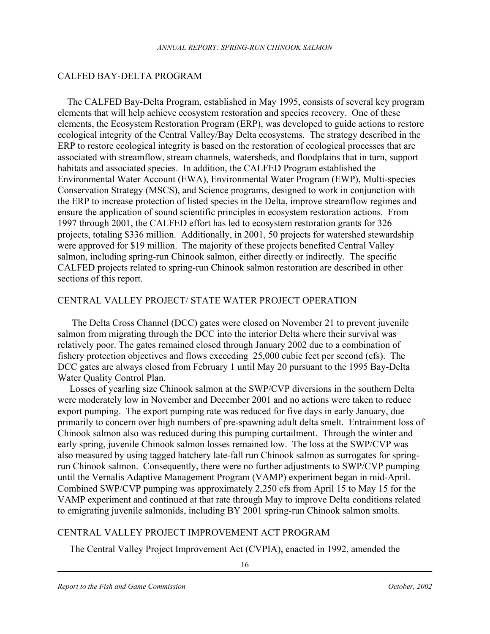#### CALFED BAY-DELTA PROGRAM

The CALFED Bay-Delta Program, established in May 1995, consists of several key program elements that will help achieve ecosystem restoration and species recovery. One of these elements, the Ecosystem Restoration Program (ERP), was developed to guide actions to restore ecological integrity of the Central Valley/Bay Delta ecosystems. The strategy described in the ERP to restore ecological integrity is based on the restoration of ecological processes that are associated with streamflow, stream channels, watersheds, and floodplains that in turn, support habitats and associated species. In addition, the CALFED Program established the Environmental Water Account (EWA), Environmental Water Program (EWP), Multi-species Conservation Strategy (MSCS), and Science programs, designed to work in conjunction with the ERP to increase protection of listed species in the Delta, improve streamflow regimes and ensure the application of sound scientific principles in ecosystem restoration actions. From 1997 through 2001, the CALFED effort has led to ecosystem restoration grants for 326 projects, totaling \$336 million. Additionally, in 2001, 50 projects for watershed stewardship were approved for \$19 million. The majority of these projects benefited Central Valley salmon, including spring-run Chinook salmon, either directly or indirectly. The specific CALFED projects related to spring-run Chinook salmon restoration are described in other sections of this report.

### CENTRAL VALLEY PROJECT/ STATE WATER PROJECT OPERATION

 The Delta Cross Channel (DCC) gates were closed on November 21 to prevent juvenile salmon from migrating through the DCC into the interior Delta where their survival was relatively poor. The gates remained closed through January 2002 due to a combination of fishery protection objectives and flows exceeding 25,000 cubic feet per second (cfs). The DCC gates are always closed from February 1 until May 20 pursuant to the 1995 Bay-Delta Water Quality Control Plan.

 Losses of yearling size Chinook salmon at the SWP/CVP diversions in the southern Delta were moderately low in November and December 2001 and no actions were taken to reduce export pumping. The export pumping rate was reduced for five days in early January, due primarily to concern over high numbers of pre-spawning adult delta smelt. Entrainment loss of Chinook salmon also was reduced during this pumping curtailment. Through the winter and early spring, juvenile Chinook salmon losses remained low. The loss at the SWP/CVP was also measured by using tagged hatchery late-fall run Chinook salmon as surrogates for springrun Chinook salmon. Consequently, there were no further adjustments to SWP/CVP pumping until the Vernalis Adaptive Management Program (VAMP) experiment began in mid-April. Combined SWP/CVP pumping was approximately 2,250 cfs from April 15 to May 15 for the VAMP experiment and continued at that rate through May to improve Delta conditions related to emigrating juvenile salmonids, including BY 2001 spring-run Chinook salmon smolts.

#### CENTRAL VALLEY PROJECT IMPROVEMENT ACT PROGRAM

The Central Valley Project Improvement Act (CVPIA), enacted in 1992, amended the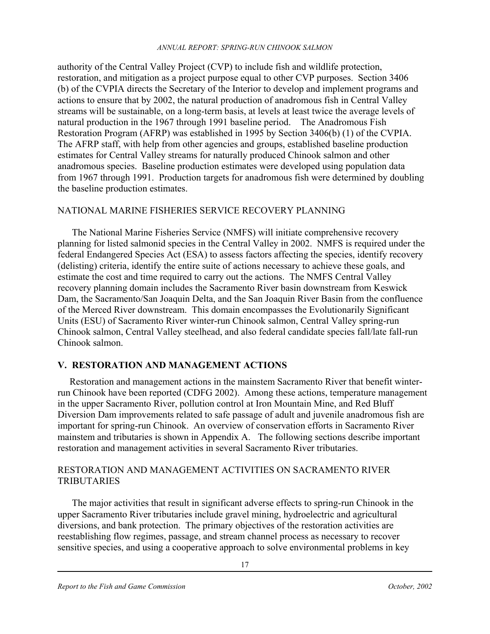authority of the Central Valley Project (CVP) to include fish and wildlife protection, restoration, and mitigation as a project purpose equal to other CVP purposes. Section 3406 (b) of the CVPIA directs the Secretary of the Interior to develop and implement programs and actions to ensure that by 2002, the natural production of anadromous fish in Central Valley streams will be sustainable, on a long-term basis, at levels at least twice the average levels of natural production in the 1967 through 1991 baseline period. The Anadromous Fish Restoration Program (AFRP) was established in 1995 by Section 3406(b) (1) of the CVPIA. The AFRP staff, with help from other agencies and groups, established baseline production estimates for Central Valley streams for naturally produced Chinook salmon and other anadromous species. Baseline production estimates were developed using population data from 1967 through 1991. Production targets for anadromous fish were determined by doubling the baseline production estimates.

### NATIONAL MARINE FISHERIES SERVICE RECOVERY PLANNING

 The National Marine Fisheries Service (NMFS) will initiate comprehensive recovery planning for listed salmonid species in the Central Valley in 2002. NMFS is required under the federal Endangered Species Act (ESA) to assess factors affecting the species, identify recovery (delisting) criteria, identify the entire suite of actions necessary to achieve these goals, and estimate the cost and time required to carry out the actions. The NMFS Central Valley recovery planning domain includes the Sacramento River basin downstream from Keswick Dam, the Sacramento/San Joaquin Delta, and the San Joaquin River Basin from the confluence of the Merced River downstream. This domain encompasses the Evolutionarily Significant Units (ESU) of Sacramento River winter-run Chinook salmon, Central Valley spring-run Chinook salmon, Central Valley steelhead, and also federal candidate species fall/late fall-run Chinook salmon.

## **V. RESTORATION AND MANAGEMENT ACTIONS**

 Restoration and management actions in the mainstem Sacramento River that benefit winterrun Chinook have been reported (CDFG 2002). Among these actions, temperature management in the upper Sacramento River, pollution control at Iron Mountain Mine, and Red Bluff Diversion Dam improvements related to safe passage of adult and juvenile anadromous fish are important for spring-run Chinook. An overview of conservation efforts in Sacramento River mainstem and tributaries is shown in Appendix A. The following sections describe important restoration and management activities in several Sacramento River tributaries.

### RESTORATION AND MANAGEMENT ACTIVITIES ON SACRAMENTO RIVER **TRIBUTARIES**

The major activities that result in significant adverse effects to spring-run Chinook in the upper Sacramento River tributaries include gravel mining, hydroelectric and agricultural diversions, and bank protection. The primary objectives of the restoration activities are reestablishing flow regimes, passage, and stream channel process as necessary to recover sensitive species, and using a cooperative approach to solve environmental problems in key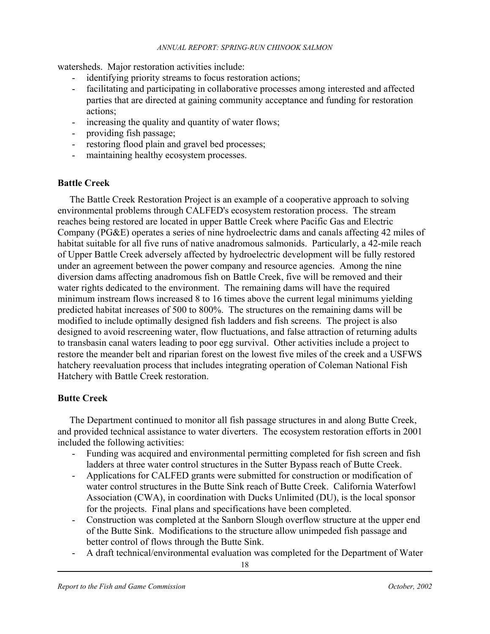watersheds. Major restoration activities include:

- identifying priority streams to focus restoration actions;
- facilitating and participating in collaborative processes among interested and affected parties that are directed at gaining community acceptance and funding for restoration actions;
- increasing the quality and quantity of water flows;
- providing fish passage;
- restoring flood plain and gravel bed processes;
- maintaining healthy ecosystem processes.

#### **Battle Creek**

 The Battle Creek Restoration Project is an example of a cooperative approach to solving environmental problems through CALFED's ecosystem restoration process. The stream reaches being restored are located in upper Battle Creek where Pacific Gas and Electric Company (PG&E) operates a series of nine hydroelectric dams and canals affecting 42 miles of habitat suitable for all five runs of native anadromous salmonids. Particularly, a 42-mile reach of Upper Battle Creek adversely affected by hydroelectric development will be fully restored under an agreement between the power company and resource agencies. Among the nine diversion dams affecting anadromous fish on Battle Creek, five will be removed and their water rights dedicated to the environment. The remaining dams will have the required minimum instream flows increased 8 to 16 times above the current legal minimums yielding predicted habitat increases of 500 to 800%. The structures on the remaining dams will be modified to include optimally designed fish ladders and fish screens. The project is also designed to avoid rescreening water, flow fluctuations, and false attraction of returning adults to transbasin canal waters leading to poor egg survival. Other activities include a project to restore the meander belt and riparian forest on the lowest five miles of the creek and a USFWS hatchery reevaluation process that includes integrating operation of Coleman National Fish Hatchery with Battle Creek restoration.

### **Butte Creek**

The Department continued to monitor all fish passage structures in and along Butte Creek, and provided technical assistance to water diverters. The ecosystem restoration efforts in 2001 included the following activities:

- Funding was acquired and environmental permitting completed for fish screen and fish ladders at three water control structures in the Sutter Bypass reach of Butte Creek.
- Applications for CALFED grants were submitted for construction or modification of water control structures in the Butte Sink reach of Butte Creek. California Waterfowl Association (CWA), in coordination with Ducks Unlimited (DU), is the local sponsor for the projects. Final plans and specifications have been completed.
- Construction was completed at the Sanborn Slough overflow structure at the upper end of the Butte Sink. Modifications to the structure allow unimpeded fish passage and better control of flows through the Butte Sink.
- A draft technical/environmental evaluation was completed for the Department of Water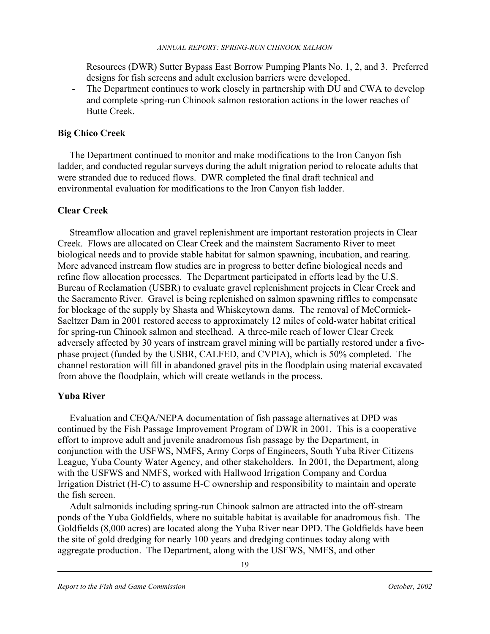Resources (DWR) Sutter Bypass East Borrow Pumping Plants No. 1, 2, and 3. Preferred designs for fish screens and adult exclusion barriers were developed.

The Department continues to work closely in partnership with DU and CWA to develop and complete spring-run Chinook salmon restoration actions in the lower reaches of Butte Creek.

## **Big Chico Creek**

 The Department continued to monitor and make modifications to the Iron Canyon fish ladder, and conducted regular surveys during the adult migration period to relocate adults that were stranded due to reduced flows. DWR completed the final draft technical and environmental evaluation for modifications to the Iron Canyon fish ladder.

## **Clear Creek**

Streamflow allocation and gravel replenishment are important restoration projects in Clear Creek. Flows are allocated on Clear Creek and the mainstem Sacramento River to meet biological needs and to provide stable habitat for salmon spawning, incubation, and rearing. More advanced instream flow studies are in progress to better define biological needs and refine flow allocation processes. The Department participated in efforts lead by the U.S. Bureau of Reclamation (USBR) to evaluate gravel replenishment projects in Clear Creek and the Sacramento River. Gravel is being replenished on salmon spawning riffles to compensate for blockage of the supply by Shasta and Whiskeytown dams. The removal of McCormick-Saeltzer Dam in 2001 restored access to approximately 12 miles of cold-water habitat critical for spring-run Chinook salmon and steelhead. A three-mile reach of lower Clear Creek adversely affected by 30 years of instream gravel mining will be partially restored under a fivephase project (funded by the USBR, CALFED, and CVPIA), which is 50% completed. The channel restoration will fill in abandoned gravel pits in the floodplain using material excavated from above the floodplain, which will create wetlands in the process.

## **Yuba River**

 Evaluation and CEQA/NEPA documentation of fish passage alternatives at DPD was continued by the Fish Passage Improvement Program of DWR in 2001. This is a cooperative effort to improve adult and juvenile anadromous fish passage by the Department, in conjunction with the USFWS, NMFS, Army Corps of Engineers, South Yuba River Citizens League, Yuba County Water Agency, and other stakeholders. In 2001, the Department, along with the USFWS and NMFS, worked with Hallwood Irrigation Company and Cordua Irrigation District (H-C) to assume H-C ownership and responsibility to maintain and operate the fish screen.

 Adult salmonids including spring-run Chinook salmon are attracted into the off-stream ponds of the Yuba Goldfields, where no suitable habitat is available for anadromous fish. The Goldfields (8,000 acres) are located along the Yuba River near DPD. The Goldfields have been the site of gold dredging for nearly 100 years and dredging continues today along with aggregate production. The Department, along with the USFWS, NMFS, and other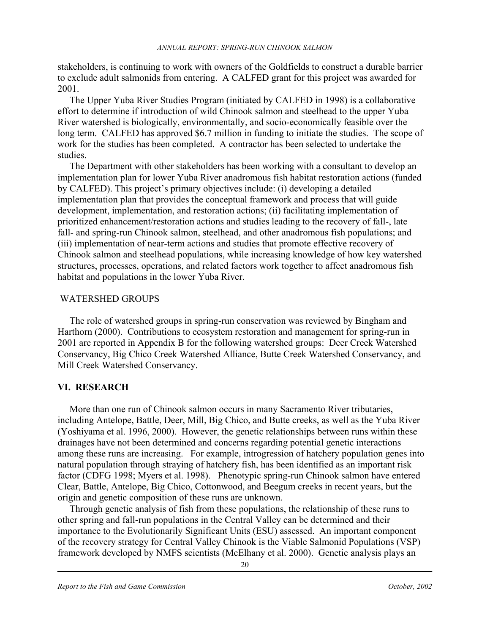stakeholders, is continuing to work with owners of the Goldfields to construct a durable barrier to exclude adult salmonids from entering. A CALFED grant for this project was awarded for 2001.

 The Upper Yuba River Studies Program (initiated by CALFED in 1998) is a collaborative effort to determine if introduction of wild Chinook salmon and steelhead to the upper Yuba River watershed is biologically, environmentally, and socio-economically feasible over the long term. CALFED has approved \$6.7 million in funding to initiate the studies. The scope of work for the studies has been completed. A contractor has been selected to undertake the studies.

 The Department with other stakeholders has been working with a consultant to develop an implementation plan for lower Yuba River anadromous fish habitat restoration actions (funded by CALFED). This project's primary objectives include: (i) developing a detailed implementation plan that provides the conceptual framework and process that will guide development, implementation, and restoration actions; (ii) facilitating implementation of prioritized enhancement/restoration actions and studies leading to the recovery of fall-, late fall- and spring-run Chinook salmon, steelhead, and other anadromous fish populations; and (iii) implementation of near-term actions and studies that promote effective recovery of Chinook salmon and steelhead populations, while increasing knowledge of how key watershed structures, processes, operations, and related factors work together to affect anadromous fish habitat and populations in the lower Yuba River.

### WATERSHED GROUPS

 The role of watershed groups in spring-run conservation was reviewed by Bingham and Harthorn (2000). Contributions to ecosystem restoration and management for spring-run in 2001 are reported in Appendix B for the following watershed groups: Deer Creek Watershed Conservancy, Big Chico Creek Watershed Alliance, Butte Creek Watershed Conservancy, and Mill Creek Watershed Conservancy.

#### **VI. RESEARCH**

More than one run of Chinook salmon occurs in many Sacramento River tributaries, including Antelope, Battle, Deer, Mill, Big Chico, and Butte creeks, as well as the Yuba River (Yoshiyama et al. 1996, 2000). However, the genetic relationships between runs within these drainages have not been determined and concerns regarding potential genetic interactions among these runs are increasing. For example, introgression of hatchery population genes into natural population through straying of hatchery fish, has been identified as an important risk factor (CDFG 1998; Myers et al. 1998). Phenotypic spring-run Chinook salmon have entered Clear, Battle, Antelope, Big Chico, Cottonwood, and Beegum creeks in recent years, but the origin and genetic composition of these runs are unknown.

 Through genetic analysis of fish from these populations, the relationship of these runs to other spring and fall-run populations in the Central Valley can be determined and their importance to the Evolutionarily Significant Units (ESU) assessed. An important component of the recovery strategy for Central Valley Chinook is the Viable Salmonid Populations (VSP) framework developed by NMFS scientists (McElhany et al. 2000). Genetic analysis plays an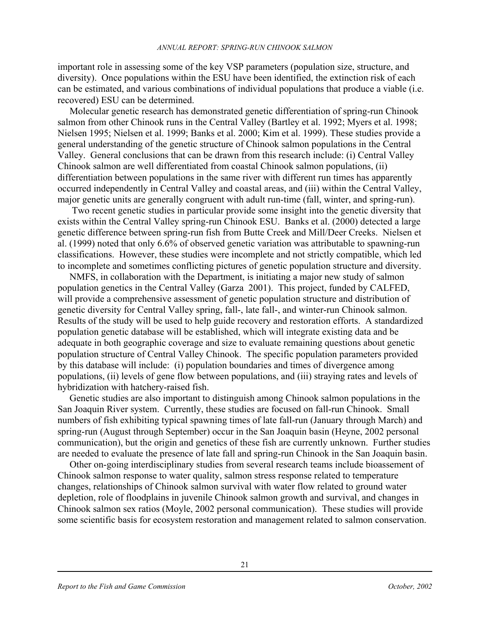important role in assessing some of the key VSP parameters (population size, structure, and diversity). Once populations within the ESU have been identified, the extinction risk of each can be estimated, and various combinations of individual populations that produce a viable (i.e. recovered) ESU can be determined.

 Molecular genetic research has demonstrated genetic differentiation of spring-run Chinook salmon from other Chinook runs in the Central Valley (Bartley et al. 1992; Myers et al. 1998; Nielsen 1995; Nielsen et al. 1999; Banks et al. 2000; Kim et al. 1999). These studies provide a general understanding of the genetic structure of Chinook salmon populations in the Central Valley. General conclusions that can be drawn from this research include: (i) Central Valley Chinook salmon are well differentiated from coastal Chinook salmon populations, (ii) differentiation between populations in the same river with different run times has apparently occurred independently in Central Valley and coastal areas, and (iii) within the Central Valley, major genetic units are generally congruent with adult run-time (fall, winter, and spring-run).

 Two recent genetic studies in particular provide some insight into the genetic diversity that exists within the Central Valley spring-run Chinook ESU. Banks et al. (2000) detected a large genetic difference between spring-run fish from Butte Creek and Mill/Deer Creeks. Nielsen et al. (1999) noted that only 6.6% of observed genetic variation was attributable to spawning-run classifications. However, these studies were incomplete and not strictly compatible, which led to incomplete and sometimes conflicting pictures of genetic population structure and diversity.

 NMFS, in collaboration with the Department, is initiating a major new study of salmon population genetics in the Central Valley (Garza 2001). This project, funded by CALFED, will provide a comprehensive assessment of genetic population structure and distribution of genetic diversity for Central Valley spring, fall-, late fall-, and winter-run Chinook salmon. Results of the study will be used to help guide recovery and restoration efforts. A standardized population genetic database will be established, which will integrate existing data and be adequate in both geographic coverage and size to evaluate remaining questions about genetic population structure of Central Valley Chinook. The specific population parameters provided by this database will include: (i) population boundaries and times of divergence among populations, (ii) levels of gene flow between populations, and (iii) straying rates and levels of hybridization with hatchery-raised fish.

 Genetic studies are also important to distinguish among Chinook salmon populations in the San Joaquin River system. Currently, these studies are focused on fall-run Chinook. Small numbers of fish exhibiting typical spawning times of late fall-run (January through March) and spring-run (August through September) occur in the San Joaquin basin (Heyne, 2002 personal communication), but the origin and genetics of these fish are currently unknown. Further studies are needed to evaluate the presence of late fall and spring-run Chinook in the San Joaquin basin.

 Other on-going interdisciplinary studies from several research teams include bioassement of Chinook salmon response to water quality, salmon stress response related to temperature changes, relationships of Chinook salmon survival with water flow related to ground water depletion, role of floodplains in juvenile Chinook salmon growth and survival, and changes in Chinook salmon sex ratios (Moyle, 2002 personal communication). These studies will provide some scientific basis for ecosystem restoration and management related to salmon conservation.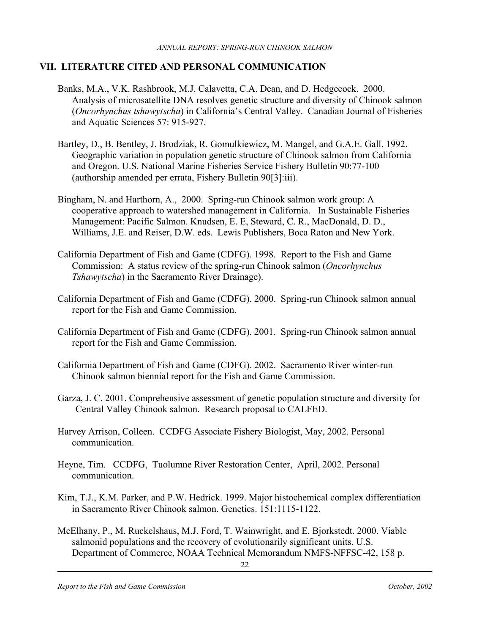### **VII. LITERATURE CITED AND PERSONAL COMMUNICATION**

- Banks, M.A., V.K. Rashbrook, M.J. Calavetta, C.A. Dean, and D. Hedgecock. 2000. Analysis of microsatellite DNA resolves genetic structure and diversity of Chinook salmon (*Oncorhynchus tshawytscha*) in California's Central Valley. Canadian Journal of Fisheries and Aquatic Sciences 57: 915-927.
- Bartley, D., B. Bentley, J. Brodziak, R. Gomulkiewicz, M. Mangel, and G.A.E. Gall. 1992. Geographic variation in population genetic structure of Chinook salmon from California and Oregon. U.S. National Marine Fisheries Service Fishery Bulletin 90:77-100 (authorship amended per errata, Fishery Bulletin 90[3]:iii).
- Bingham, N. and Harthorn, A., 2000. Spring-run Chinook salmon work group: A cooperative approach to watershed management in California. In Sustainable Fisheries Management: Pacific Salmon. Knudsen, E. E, Steward, C. R., MacDonald, D. D., Williams, J.E. and Reiser, D.W. eds. Lewis Publishers, Boca Raton and New York.
- California Department of Fish and Game (CDFG). 1998. Report to the Fish and Game Commission: A status review of the spring-run Chinook salmon (*Oncorhynchus Tshawytscha*) in the Sacramento River Drainage).
- California Department of Fish and Game (CDFG). 2000. Spring-run Chinook salmon annual report for the Fish and Game Commission.
- California Department of Fish and Game (CDFG). 2001. Spring-run Chinook salmon annual report for the Fish and Game Commission.
- California Department of Fish and Game (CDFG). 2002. Sacramento River winter-run Chinook salmon biennial report for the Fish and Game Commission.
- Garza, J. C. 2001. Comprehensive assessment of genetic population structure and diversity for Central Valley Chinook salmon. Research proposal to CALFED.
- Harvey Arrison, Colleen. CCDFG Associate Fishery Biologist, May, 2002. Personal communication.
- Heyne, Tim. CCDFG, Tuolumne River Restoration Center, April, 2002. Personal communication.
- Kim, T.J., K.M. Parker, and P.W. Hedrick. 1999. Major histochemical complex differentiation in Sacramento River Chinook salmon. Genetics. 151:1115-1122.
- McElhany, P., M. Ruckelshaus, M.J. Ford, T. Wainwright, and E. Bjorkstedt. 2000. Viable salmonid populations and the recovery of evolutionarily significant units. U.S. Department of Commerce, NOAA Technical Memorandum NMFS-NFFSC-42, 158 p.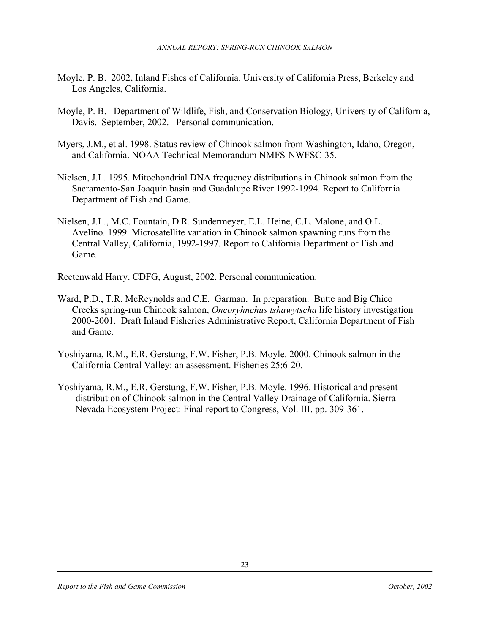- Moyle, P. B. 2002, Inland Fishes of California. University of California Press, Berkeley and Los Angeles, California.
- Moyle, P. B. Department of Wildlife, Fish, and Conservation Biology, University of California, Davis. September, 2002. Personal communication.
- Myers, J.M., et al. 1998. Status review of Chinook salmon from Washington, Idaho, Oregon, and California. NOAA Technical Memorandum NMFS-NWFSC-35.
- Nielsen, J.L. 1995. Mitochondrial DNA frequency distributions in Chinook salmon from the Sacramento-San Joaquin basin and Guadalupe River 1992-1994. Report to California Department of Fish and Game.
- Nielsen, J.L., M.C. Fountain, D.R. Sundermeyer, E.L. Heine, C.L. Malone, and O.L. Avelino. 1999. Microsatellite variation in Chinook salmon spawning runs from the Central Valley, California, 1992-1997. Report to California Department of Fish and Game.

Rectenwald Harry. CDFG, August, 2002. Personal communication.

- Ward, P.D., T.R. McReynolds and C.E. Garman. In preparation. Butte and Big Chico Creeks spring-run Chinook salmon, *Oncoryhnchus tshawytscha* life history investigation 2000-2001. Draft Inland Fisheries Administrative Report, California Department of Fish and Game.
- Yoshiyama, R.M., E.R. Gerstung, F.W. Fisher, P.B. Moyle. 2000. Chinook salmon in the California Central Valley: an assessment. Fisheries 25:6-20.
- Yoshiyama, R.M., E.R. Gerstung, F.W. Fisher, P.B. Moyle. 1996. Historical and present distribution of Chinook salmon in the Central Valley Drainage of California. Sierra Nevada Ecosystem Project: Final report to Congress, Vol. III. pp. 309-361.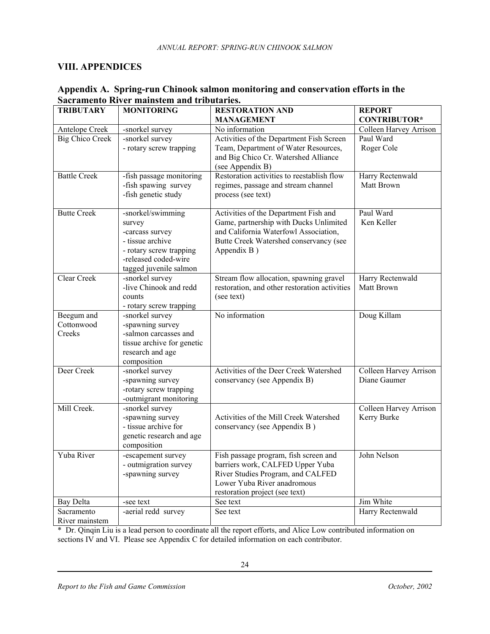#### **VIII. APPENDICES**

| <b>TRIBUTARY</b>       | <b>MONITORING</b>          | <b>RESTORATION AND</b>                        | <b>REPORT</b>          |
|------------------------|----------------------------|-----------------------------------------------|------------------------|
|                        |                            | <b>MANAGEMENT</b>                             | <b>CONTRIBUTOR*</b>    |
| Antelope Creek         | -snorkel survey            | No information                                | Colleen Harvey Arrison |
| <b>Big Chico Creek</b> | -snorkel survey            | Activities of the Department Fish Screen      | Paul Ward              |
|                        | - rotary screw trapping    | Team, Department of Water Resources,          | Roger Cole             |
|                        |                            | and Big Chico Cr. Watershed Alliance          |                        |
|                        |                            | (see Appendix B)                              |                        |
| <b>Battle Creek</b>    | -fish passage monitoring   | Restoration activities to reestablish flow    | Harry Rectenwald       |
|                        | -fish spawing survey       | regimes, passage and stream channel           | Matt Brown             |
|                        | -fish genetic study        | process (see text)                            |                        |
|                        |                            |                                               |                        |
| <b>Butte Creek</b>     | -snorkel/swimming          | Activities of the Department Fish and         | Paul Ward              |
|                        | survey                     | Game, partnership with Ducks Unlimited        | Ken Keller             |
|                        | -carcass survey            | and California Waterfowl Association,         |                        |
|                        | - tissue archive           | Butte Creek Watershed conservancy (see        |                        |
|                        | - rotary screw trapping    | Appendix B)                                   |                        |
|                        | -released coded-wire       |                                               |                        |
|                        | tagged juvenile salmon     |                                               |                        |
| Clear Creek            | -snorkel survey            | Stream flow allocation, spawning gravel       | Harry Rectenwald       |
|                        | -live Chinook and redd     | restoration, and other restoration activities | Matt Brown             |
|                        | counts                     | (see text)                                    |                        |
|                        | - rotary screw trapping    |                                               |                        |
| Beegum and             | -snorkel survey            | No information                                | Doug Killam            |
| Cottonwood             | -spawning survey           |                                               |                        |
| Creeks                 | -salmon carcasses and      |                                               |                        |
|                        | tissue archive for genetic |                                               |                        |
|                        | research and age           |                                               |                        |
|                        | composition                |                                               |                        |
| Deer Creek             | -snorkel survey            | Activities of the Deer Creek Watershed        | Colleen Harvey Arrison |
|                        | -spawning survey           | conservancy (see Appendix B)                  | Diane Gaumer           |
|                        | -rotary screw trapping     |                                               |                        |
|                        | -outmigrant monitoring     |                                               |                        |
| Mill Creek.            | -snorkel survey            |                                               | Colleen Harvey Arrison |
|                        | -spawning survey           | Activities of the Mill Creek Watershed        | Kerry Burke            |
|                        | - tissue archive for       | conservancy (see Appendix B)                  |                        |
|                        | genetic research and age   |                                               |                        |
|                        | composition                |                                               |                        |
| Yuba River             | -escapement survey         | Fish passage program, fish screen and         | John Nelson            |
|                        |                            |                                               |                        |
|                        | - outmigration survey      | barriers work, CALFED Upper Yuba              |                        |
|                        | -spawning survey           | River Studies Program, and CALFED             |                        |
|                        |                            | Lower Yuba River anadromous                   |                        |
|                        |                            | restoration project (see text)                |                        |
| <b>Bay Delta</b>       | -see text                  | See text                                      | Jim White              |
| Sacramento             | -aerial redd survey        | See text                                      | Harry Rectenwald       |
| River mainstem         |                            |                                               |                        |

### **Appendix A. Spring-run Chinook salmon monitoring and conservation efforts in the Sacramento River mainstem and tributaries.**

\* Dr. Qinqin Liu is a lead person to coordinate all the report efforts, and Alice Low contributed information on sections IV and VI. Please see Appendix C for detailed information on each contributor.

24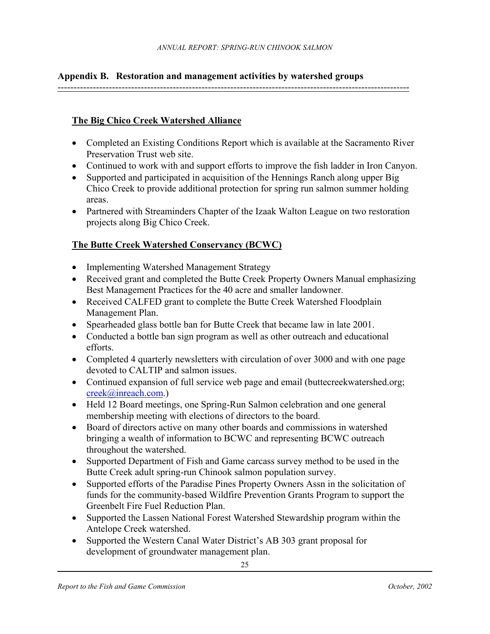# **Appendix B. Restoration and management activities by watershed groups**

--------------------------------------------------------------------------------------------------------------

### **The Big Chico Creek Watershed Alliance**

- Completed an Existing Conditions Report which is available at the Sacramento River Preservation Trust web site.
- Continued to work with and support efforts to improve the fish ladder in Iron Canyon.
- Supported and participated in acquisition of the Hennings Ranch along upper Big Chico Creek to provide additional protection for spring run salmon summer holding areas.
- Partnered with Streaminders Chapter of the Izaak Walton League on two restoration projects along Big Chico Creek.

## **The Butte Creek Watershed Conservancy (BCWC)**

- Implementing Watershed Management Strategy
- Received grant and completed the Butte Creek Property Owners Manual emphasizing Best Management Practices for the 40 acre and smaller landowner.
- Received CALFED grant to complete the Butte Creek Watershed Floodplain Management Plan.
- Spearheaded glass bottle ban for Butte Creek that became law in late 2001.
- Conducted a bottle ban sign program as well as other outreach and educational efforts.
- Completed 4 quarterly newsletters with circulation of over 3000 and with one page devoted to CALTIP and salmon issues.
- Continued expansion of full service web page and email (buttecreekwatershed.org; creek@inreach.com.)
- Held 12 Board meetings, one Spring-Run Salmon celebration and one general membership meeting with elections of directors to the board.
- Board of directors active on many other boards and commissions in watershed bringing a wealth of information to BCWC and representing BCWC outreach throughout the watershed.
- Supported Department of Fish and Game carcass survey method to be used in the Butte Creek adult spring-run Chinook salmon population survey.
- Supported efforts of the Paradise Pines Property Owners Assn in the solicitation of funds for the community-based Wildfire Prevention Grants Program to support the Greenbelt Fire Fuel Reduction Plan.
- Supported the Lassen National Forest Watershed Stewardship program within the Antelope Creek watershed.
- Supported the Western Canal Water District's AB 303 grant proposal for development of groundwater management plan.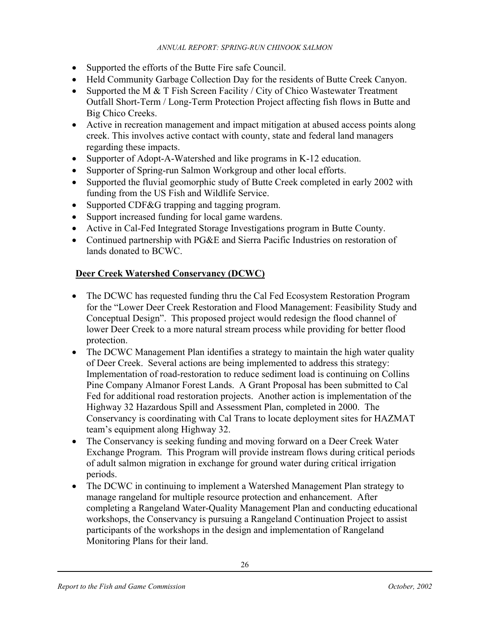- Supported the efforts of the Butte Fire safe Council.
- Held Community Garbage Collection Day for the residents of Butte Creek Canyon.
- Supported the M & T Fish Screen Facility / City of Chico Wastewater Treatment Outfall Short-Term / Long-Term Protection Project affecting fish flows in Butte and Big Chico Creeks.
- Active in recreation management and impact mitigation at abused access points along creek. This involves active contact with county, state and federal land managers regarding these impacts.
- Supporter of Adopt-A-Watershed and like programs in K-12 education.
- Supporter of Spring-run Salmon Workgroup and other local efforts.
- Supported the fluvial geomorphic study of Butte Creek completed in early 2002 with funding from the US Fish and Wildlife Service.
- Supported CDF&G trapping and tagging program.
- Support increased funding for local game wardens.
- Active in Cal-Fed Integrated Storage Investigations program in Butte County.
- Continued partnership with PG&E and Sierra Pacific Industries on restoration of lands donated to BCWC.

### **Deer Creek Watershed Conservancy (DCWC)**

- The DCWC has requested funding thru the Cal Fed Ecosystem Restoration Program for the "Lower Deer Creek Restoration and Flood Management: Feasibility Study and Conceptual Design". This proposed project would redesign the flood channel of lower Deer Creek to a more natural stream process while providing for better flood protection.
- The DCWC Management Plan identifies a strategy to maintain the high water quality of Deer Creek. Several actions are being implemented to address this strategy: Implementation of road-restoration to reduce sediment load is continuing on Collins Pine Company Almanor Forest Lands. A Grant Proposal has been submitted to Cal Fed for additional road restoration projects. Another action is implementation of the Highway 32 Hazardous Spill and Assessment Plan, completed in 2000. The Conservancy is coordinating with Cal Trans to locate deployment sites for HAZMAT team's equipment along Highway 32.
- The Conservancy is seeking funding and moving forward on a Deer Creek Water Exchange Program. This Program will provide instream flows during critical periods of adult salmon migration in exchange for ground water during critical irrigation periods.
- The DCWC in continuing to implement a Watershed Management Plan strategy to manage rangeland for multiple resource protection and enhancement. After completing a Rangeland Water-Quality Management Plan and conducting educational workshops, the Conservancy is pursuing a Rangeland Continuation Project to assist participants of the workshops in the design and implementation of Rangeland Monitoring Plans for their land.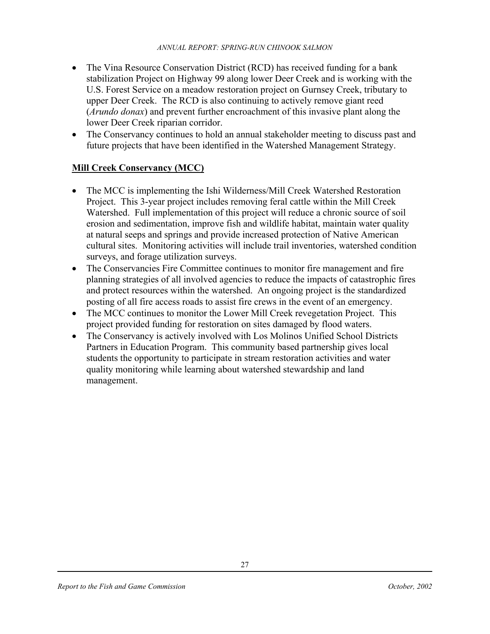- The Vina Resource Conservation District (RCD) has received funding for a bank stabilization Project on Highway 99 along lower Deer Creek and is working with the U.S. Forest Service on a meadow restoration project on Gurnsey Creek, tributary to upper Deer Creek. The RCD is also continuing to actively remove giant reed (*Arundo donax*) and prevent further encroachment of this invasive plant along the lower Deer Creek riparian corridor.
- The Conservancy continues to hold an annual stakeholder meeting to discuss past and future projects that have been identified in the Watershed Management Strategy.

## **Mill Creek Conservancy (MCC)**

- The MCC is implementing the Ishi Wilderness/Mill Creek Watershed Restoration Project. This 3-year project includes removing feral cattle within the Mill Creek Watershed. Full implementation of this project will reduce a chronic source of soil erosion and sedimentation, improve fish and wildlife habitat, maintain water quality at natural seeps and springs and provide increased protection of Native American cultural sites. Monitoring activities will include trail inventories, watershed condition surveys, and forage utilization surveys.
- The Conservancies Fire Committee continues to monitor fire management and fire planning strategies of all involved agencies to reduce the impacts of catastrophic fires and protect resources within the watershed. An ongoing project is the standardized posting of all fire access roads to assist fire crews in the event of an emergency.
- The MCC continues to monitor the Lower Mill Creek revegetation Project. This project provided funding for restoration on sites damaged by flood waters.
- The Conservancy is actively involved with Los Molinos Unified School Districts Partners in Education Program. This community based partnership gives local students the opportunity to participate in stream restoration activities and water quality monitoring while learning about watershed stewardship and land management.